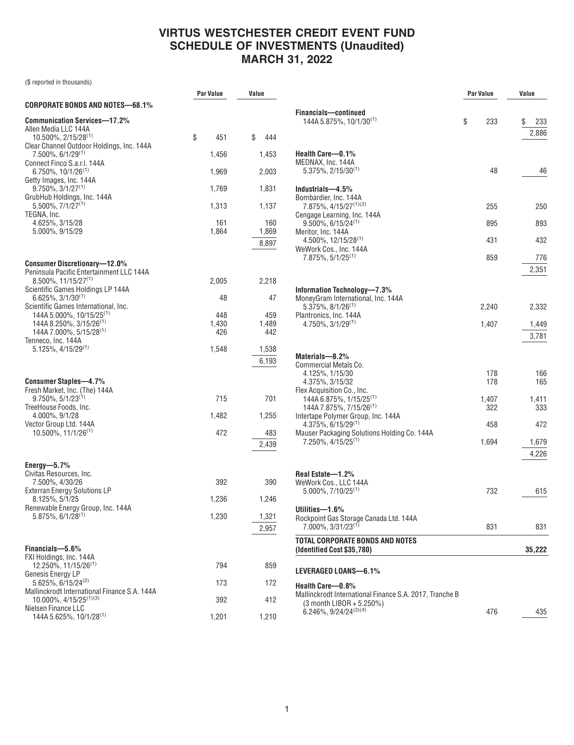|                                                                                                                                                                                  | Par Value           | Value                 |  |
|----------------------------------------------------------------------------------------------------------------------------------------------------------------------------------|---------------------|-----------------------|--|
| CORPORATE BONDS AND NOTES—68.1%                                                                                                                                                  |                     |                       |  |
| <b>Communication Services-17.2%</b><br>Allen Media LLC 144A<br>10.500%, 2/15/28 <sup>(1)</sup><br>Clear Channel Outdoor Holdings, Inc. 144A<br>$7.500\%$ , 6/1/29 <sup>(1)</sup> | \$<br>451<br>1,456  | \$<br>444<br>1,453    |  |
| Connect Finco S.a.r.l. 144A                                                                                                                                                      |                     |                       |  |
| $6.750\%$ , 10/1/26 <sup>(1)</sup><br>Getty Images, Inc. 144A                                                                                                                    | 1,969               | 2,003                 |  |
| $9.750\%$ , $3/1/27^{(1)}$<br>GrubHub Holdings, Inc. 144A                                                                                                                        | 1,769               | 1,831                 |  |
| $5.500\%$ , $7/1/27^{(1)}$<br>TEGNA, Inc.                                                                                                                                        | 1,313               | 1,137                 |  |
| 4.625%, 3/15/28<br>5.000%, 9/15/29                                                                                                                                               | 161<br>1,864        | 160<br>1,869<br>8,897 |  |
| <b>Consumer Discretionary-12.0%</b>                                                                                                                                              |                     |                       |  |
| Peninsula Pacific Entertainment LLC 144A<br>$8.500\%$ , 11/15/27 <sup>(1)</sup>                                                                                                  | 2,005               | 2,218                 |  |
| Scientific Games Holdings LP 144A<br>$6.625\%$ , 3/1/30 <sup>(1)</sup>                                                                                                           | 48                  | 47                    |  |
| Scientific Games International, Inc.<br>144A 5.000%, 10/15/25 <sup>(1)</sup><br>144A 8.250%, 3/15/26 <sup>(1)</sup><br>144A 7.000%, 5/15/28 <sup>(1)</sup>                       | 448<br>1,430<br>426 | 459<br>1,489<br>442   |  |
| Tenneco, Inc. 144A<br>$5.125\%, 4/15/29^{(1)}$                                                                                                                                   | 1,548               | 1,538<br>6,193        |  |
| <b>Consumer Staples-4.7%</b><br>Fresh Market, Inc. (The) 144A                                                                                                                    |                     |                       |  |
| $9.750\%, 5/1/23^{(1)}$<br>TreeHouse Foods, Inc.                                                                                                                                 | 715                 | 701                   |  |
| 4.000%, 9/1/28<br>Vector Group Ltd. 144A                                                                                                                                         | 1,482               | 1,255                 |  |
| $10.500\%$ , $11/1/26^{(1)}$                                                                                                                                                     | 472                 | 483<br>2,439          |  |
| Energy- $-5.7\%$                                                                                                                                                                 |                     |                       |  |
| Civitas Resources, Inc.<br>7.500%, 4/30/26                                                                                                                                       | 392                 | 390                   |  |
| <b>Exterran Energy Solutions LP</b><br>8.125%, 5/1/25                                                                                                                            | 1,236               | 1,246                 |  |
| Renewable Energy Group, Inc. 144A<br>$5.875\%, 6/1/28$ <sup>(1)</sup>                                                                                                            | 1,230               | 1,321<br>2,957        |  |
| Financials-5.6%                                                                                                                                                                  |                     |                       |  |
| FXI Holdings, Inc. 144A<br>12.250%, 11/15/26 <sup>(1)</sup>                                                                                                                      | 794                 | 859                   |  |
| Genesis Energy LP<br>5.625%, 6/15/24 <sup>(2)</sup>                                                                                                                              | 173                 | 172                   |  |
| Mallinckrodt International Finance S.A. 144A<br>$10.000\%$ , $4/15/25^{(1)(3)}$                                                                                                  | 392                 | 412                   |  |
| Nielsen Finance LLC                                                                                                                                                              |                     |                       |  |
| 144A 5.625%, 10/1/28 <sup>(1)</sup>                                                                                                                                              | 1,201               | 1,210                 |  |

|                                                                                                         | Par Value  | Value              |
|---------------------------------------------------------------------------------------------------------|------------|--------------------|
| Financials-continued<br>144A 5.875%, 10/1/30 <sup>(1)</sup>                                             | \$<br>233  | \$<br>233<br>2,886 |
| Health Care-0.1%<br>MEDNAX. Inc. 144A<br>$5.375\%$ , 2/15/30 <sup>(1)</sup>                             | 48         | 46                 |
| Industrials-4.5%                                                                                        |            |                    |
| Bombardier, Inc. 144A<br>7.875%, 4/15/27 <sup>(1)(2)</sup>                                              | 255        | 250                |
| Cengage Learning, Inc. 144A<br>$9.500\%$ , 6/15/24 <sup>(1)</sup>                                       | 895        | 893                |
| Meritor, Inc. 144A<br>$4.500\%$ , 12/15/28 <sup>(1)</sup>                                               | 431        | 432                |
| WeWork Cos., Inc. 144A<br>7.875%, 5/1/25 <sup>(1)</sup>                                                 | 859        | 776                |
|                                                                                                         |            | 2,351              |
| Information Technology-7.3%<br>MoneyGram International, Inc. 144A                                       |            |                    |
| $5.375\%$ , $8/1/26^{(1)}$<br>Plantronics. Inc. 144A                                                    | 2.240      | 2,332              |
| $4.750\%$ , $3/1/29^{(1)}$                                                                              | 1,407      | 1,449<br>3,781     |
| Materials-8.2%                                                                                          |            |                    |
| Commercial Metals Co.<br>4.125%, 1/15/30<br>4.375%, 3/15/32                                             | 178<br>178 | 166<br>165         |
| Flex Acquisition Co., Inc.<br>144A 6.875%, 1/15/25 <sup>(1)</sup>                                       | 1,407      | 1,411              |
| 144A 7.875%, 7/15/26 <sup>(1)</sup><br>Intertape Polymer Group, Inc. 144A                               | 322        | 333                |
| 4.375%, 6/15/29 <sup>(1)</sup><br>Mauser Packaging Solutions Holding Co. 144A                           | 458        | 472                |
| 7.250%, 4/15/25 <sup>(1)</sup>                                                                          | 1,694      | 1,679<br>4,226     |
| Real Estate-1.2%                                                                                        |            |                    |
| WeWork Cos., LLC 144A<br>$5.000\%$ , $7/10/25^{(1)}$                                                    | 732        | 615                |
| Utilities-1.6%<br>Rockpoint Gas Storage Canada Ltd. 144A<br>7.000%, 3/31/23 <sup>(1)</sup>              | 831        | 831                |
| TOTAL CORPORATE BONDS AND NOTES                                                                         |            |                    |
| (Identified Cost \$35,780)                                                                              |            | 35,222             |
| LEVERAGED LOANS-6.1%                                                                                    |            |                    |
| Health Care-0.8%<br>Mallinckrodt International Finance S.A. 2017, Tranche B<br>(3 month LIBOR + 5.250%) |            |                    |
| 6.246%, 9/24/24(3)(4)                                                                                   | 476        | 435                |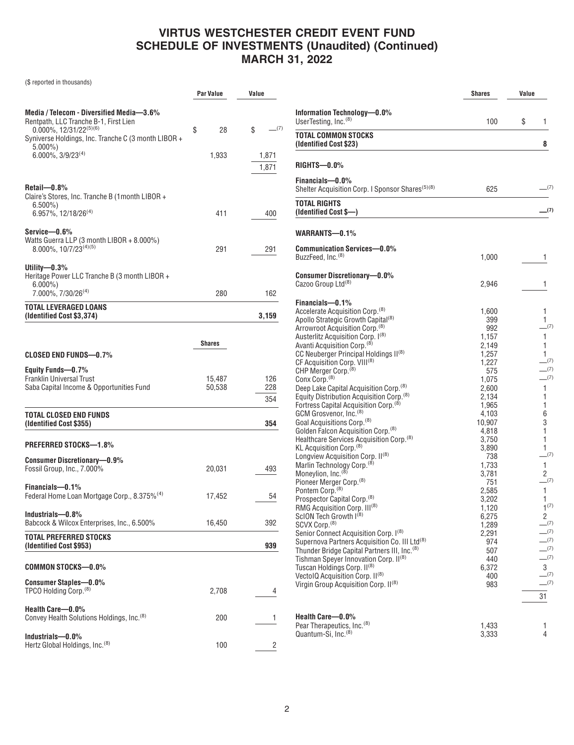|                                                                                                                                                                                    | Par Value        | Value             |
|------------------------------------------------------------------------------------------------------------------------------------------------------------------------------------|------------------|-------------------|
| Media / Telecom - Diversified Media-3.6%<br>Rentpath, LLC Tranche B-1, First Lien<br>$0.000\%$ , 12/31/22 <sup>(5)(6)</sup><br>Syniverse Holdings, Inc. Tranche C (3 month LIBOR + | \$<br>28         | $-^{(7)}$<br>\$   |
| $5.000\%$ )<br>$6.000\%$ , $3/9/23^{(4)}$                                                                                                                                          | 1,933            | 1,871<br>1,871    |
| Retail-0.8%<br>Claire's Stores, Inc. Tranche B (1month LIBOR +<br>$6.500\%$                                                                                                        |                  |                   |
| 6.957%, 12/18/26 <sup>(4)</sup>                                                                                                                                                    | 411              | 400               |
| Service-0.6%<br>Watts Guerra LLP (3 month LIBOR + 8.000%)<br>8.000%, 10/7/23(4)(5)                                                                                                 | 291              | 291               |
| Utility-0.3%<br>Heritage Power LLC Tranche B (3 month LIBOR +<br>$6.000\%$                                                                                                         |                  |                   |
| 7.000%, 7/30/26 <sup>(4)</sup>                                                                                                                                                     | 280              | 162               |
| <b>TOTAL LEVERAGED LOANS</b><br>(Identified Cost \$3,374)                                                                                                                          |                  | 3,159             |
|                                                                                                                                                                                    |                  |                   |
|                                                                                                                                                                                    | <b>Shares</b>    |                   |
| CLOSED END FUNDS—0.7%<br>Equity Funds-0.7%                                                                                                                                         |                  |                   |
| <b>Franklin Universal Trust</b><br>Saba Capital Income & Opportunities Fund                                                                                                        | 15,487<br>50,538 | 126<br>228<br>354 |
| TOTAL CLOSED END FUNDS<br>(Identified Cost \$355)                                                                                                                                  |                  | 354               |
| <b>PREFERRED STOCKS-1.8%</b>                                                                                                                                                       |                  |                   |
| <b>Consumer Discretionary-0.9%</b><br>Fossil Group, Inc., 7.000%                                                                                                                   | 20,031           | 493               |
| Financials-0.1%<br>Federal Home Loan Mortgage Corp., 8.375% <sup>(4)</sup>                                                                                                         | 17,452           | 54                |
| Industrials-0.8%<br>Babcock & Wilcox Enterprises, Inc., 6.500%                                                                                                                     | 16,450           | 392               |
| TOTAL PREFERRED STOCKS<br>(Identified Cost \$953)                                                                                                                                  |                  | 939               |
| <b>COMMON STOCKS-0.0%</b>                                                                                                                                                          |                  |                   |
| Consumer Staples-0.0%<br>TPCO Holding Corp. <sup>(8)</sup>                                                                                                                         | 2,708            | 4                 |
| Health Care-0.0%<br>Convey Health Solutions Holdings, Inc. <sup>(8)</sup>                                                                                                          | 200              | 1                 |
| Industrials-0.0%<br>Hertz Global Holdings, Inc. <sup>(8)</sup>                                                                                                                     | 100              | 2                 |

|                                                                                                            | <b>Shares</b>  | Value |                |
|------------------------------------------------------------------------------------------------------------|----------------|-------|----------------|
| Information Technology-0.0%                                                                                |                |       |                |
| UserTesting, Inc. <sup>(8)</sup>                                                                           | 100            | \$    | 1              |
| TOTAL COMMON STOCKS<br>(Identified Cost \$23)                                                              |                |       | 8              |
| RIGHTS-0.0%                                                                                                |                |       |                |
| Financials-0.0%<br>Shelter Acquisition Corp. I Sponsor Shares <sup>(5)(8)</sup>                            | 625            |       | (7)            |
| TOTAL RIGHTS<br>(Identified Cost \$—)                                                                      |                |       | .(7)           |
| WARRANTS-0.1%                                                                                              |                |       |                |
| <b>Communication Services-0.0%</b>                                                                         |                |       |                |
| BuzzFeed, Inc. <sup>(8)</sup>                                                                              | 1,000          |       | 1              |
| <b>Consumer Discretionary-0.0%</b>                                                                         |                |       |                |
| Cazoo Group Ltd <sup>(8)</sup>                                                                             | 2,946          |       | 1              |
| Financials-0.1%                                                                                            |                |       |                |
| Accelerate Acquisition Corp. <sup>(8)</sup>                                                                | 1,600          |       | 1              |
| Apollo Strategic Growth Capital <sup>(8)</sup>                                                             | 399            |       | 1              |
| Arrowroot Acquisition Corp. <sup>(8)</sup><br>Austerlitz Acquisition Corp. I(8)                            | 992            |       | $-^{(7)}$<br>1 |
| Avanti Acquisition Corp. <sup>(8)</sup>                                                                    | 1,157<br>2,149 |       | 1              |
| CC Neuberger Principal Holdings II(8)                                                                      | 1,257          |       | 1              |
| CF Acquisition Corp. VIII <sup>(8)</sup>                                                                   | 1,227          |       | $-^{(7)}$      |
| CHP Merger Corp. <sup>(8)</sup>                                                                            | 575            |       | (7)            |
| Conx Corp. <sup>(8)</sup>                                                                                  | 1,075          |       | (7)            |
| Deep Lake Capital Acquisition Corp. <sup>(8)</sup><br>Equity Distribution Acquisition Corp. <sup>(8)</sup> | 2,600<br>2,134 |       | 1<br>1         |
| Fortress Capital Acquisition Corp. <sup>(8)</sup>                                                          | 1,965          |       | 1              |
| GCM Grosvenor, Inc. <sup>(8)</sup>                                                                         | 4,103          |       | 6              |
| Goal Acquisitions Corp. <sup>(8)</sup>                                                                     | 10,907         |       | 3              |
| Golden Falcon Acquisition Corp. <sup>(8)</sup><br>Healthcare Services Acquisition Corp. <sup>(8)</sup>     | 4,818<br>3,750 |       | 1<br>1         |
| KL Acquisition Corp. <sup>(8)</sup>                                                                        | 3,890          |       | 1              |
| Longview Acquisition Corp. II <sup>(8)</sup>                                                               | 738            |       | $-^{(7)}$      |
| Marlin Technology Corp. <sup>(8)</sup>                                                                     | 1,733          |       | 1              |
| Moneylion, Inc. <sup>(8)</sup>                                                                             | 3,781          |       | 2<br>$-^{(7)}$ |
| Pioneer Merger Corp. <sup>(8)</sup><br>Pontem Corp. <sup>(8)</sup>                                         | 751<br>2,585   |       | 1              |
| Prospector Capital Corp. <sup>(8)</sup>                                                                    | 3,202          |       | 1              |
| RMG Acquisition Corp. III <sup>(8)</sup>                                                                   | 1,120          |       | $1^{(7)}$      |
| ScION Tech Growth I <sup>(8)</sup>                                                                         | 6,275          |       | 2<br>$-^{(7)}$ |
| SCVX Corp. <sup>(8)</sup><br>Senior Connect Acquisition Corp. I(8)                                         | 1,289<br>2,291 |       | (7)            |
| Supernova Partners Acquisition Co. III Ltd <sup>(8)</sup>                                                  | 974            |       | (7)            |
| Thunder Bridge Capital Partners III, Inc. <sup>(8)</sup>                                                   | 507            |       | (7)            |
| Tishman Speyer Innovation Corp. II(8)                                                                      | 440            |       | $-^{(7)}$      |
| Tuscan Holdings Corp. II <sup>(8)</sup><br>VectolQ Acquisition Corp. II(8)                                 | 6,372          |       | 3<br>$-^{(7)}$ |
| Virgin Group Acquisition Corp. II <sup>(8)</sup>                                                           | 400<br>983     |       | $-^{(7)}$      |
|                                                                                                            |                |       | 31             |
| Health Care-0.0%                                                                                           |                |       |                |
| Pear Therapeutics, Inc. <sup>(8)</sup><br>Quantum-Si, Inc. <sup>(8)</sup>                                  | 1,433<br>3,333 |       | 1<br>4         |
|                                                                                                            |                |       |                |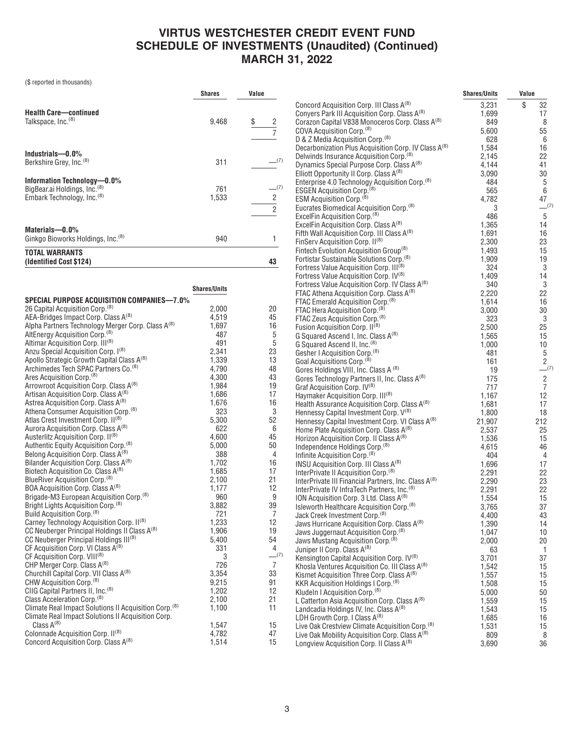|                                                                                                        | <b>Shares</b> | Value                      |
|--------------------------------------------------------------------------------------------------------|---------------|----------------------------|
| <b>Health Care-continued</b><br>Talkspace, Inc. <sup>(8)</sup>                                         | 9,468         | \$<br>2                    |
| Industrials $-0.0\%$<br>Berkshire Grey, Inc. <sup>(8)</sup>                                            | 311           | (7)                        |
| Information Technology-0.0%<br>BigBear.ai Holdings, Inc. (8)<br>Embark Technology, Inc. <sup>(8)</sup> | 761<br>1,533  | (7)<br>2<br>$\overline{2}$ |
| Materials-0.0%<br>Ginkgo Bioworks Holdings, Inc. <sup>(8)</sup>                                        | 940           |                            |
| <b>TOTAL WARRANTS</b><br>(Identified Cost \$124)                                                       |               | 43                         |

|                                                                   | <b>Shares/Units</b> |                |
|-------------------------------------------------------------------|---------------------|----------------|
| <b>SPECIAL PURPOSE ACQUISITION COMPANIES-7.0%</b>                 |                     |                |
| 26 Capital Acquisition Corp. <sup>(8)</sup>                       | 2,000               | 20             |
| AEA-Bridges Impact Corp. Class A(8)                               | 4,519               | 45             |
| Alpha Partners Technology Merger Corp. Class A(8)                 | 1,697               | 16             |
| AltEnergy Acquisition Corp. <sup>(8)</sup>                        | 487                 | 5              |
| Altimar Acquisition Corp. III <sup>(8)</sup>                      | 491                 | 5              |
| Anzu Special Acquisition Corp. I(8)                               | 2,341               | 23             |
| Apollo Strategic Growth Capital Class A(8)                        | 1,339               | 13             |
| Archimedes Tech SPAC Partners Co. <sup>(8)</sup>                  | 4,790               | 48             |
| Ares Acquisition Corp. <sup>(8)</sup>                             | 4,300               | 43             |
| Arrowroot Acquisition Corp. Class A(8)                            | 1,984               | 19             |
| Artisan Acquisition Corp. Class A <sup>(8)</sup>                  | 1,686               | 17             |
| Astrea Acquisition Corp. Class A(8)                               | 1,676               | 16             |
| Athena Consumer Acquisition Corp. <sup>(8)</sup>                  | 323                 | 3              |
| Atlas Crest Investment Corp. II(8)                                | 5,300               | 52             |
| Aurora Acquisition Corp. Class A(8)                               | 622                 | 6              |
| Austerlitz Acquisition Corp. II(8)                                | 4,600               | 45             |
| Authentic Equity Acquisition Corp. <sup>(8)</sup>                 | 5,000               | 50             |
| Belong Acquisition Corp. Class A(8)                               | 388                 | 4              |
| Bilander Acquisition Corp. Class A <sup>(8)</sup>                 | 1,702               | 16             |
| Biotech Acquisition Co. Class A(8)                                | 1,685               | 17             |
| BlueRiver Acquisition Corp. <sup>(8)</sup>                        | 2,100               | 21             |
| BOA Acquisition Corp. Class A(8)                                  | 1,177               | 12             |
| Brigade-M3 European Acquisition Corp. <sup>(8)</sup>              | 960                 | 9              |
| Bright Lights Acquisition Corp. (8)                               | 3,882               | 39             |
| Build Acquisition Corp. <sup>(8)</sup>                            | 721                 | 7              |
| Carney Technology Acquisition Corp. II(8)                         | 1,233               | 12             |
| CC Neuberger Principal Holdings II Class A(8)                     | 1,906               | 19             |
| CC Neuberger Principal Holdings III(8)                            | 5,400               | 54             |
| CF Acquisition Corp. VI Class A <sup>(8)</sup>                    | 331                 | 4              |
| CF Acquisition Corp. VIII <sup>(8)</sup>                          | 3                   | $-^{(7)}$      |
| CHP Merger Corp. Class A(8)                                       | 726                 | $\overline{7}$ |
| Churchill Capital Corp. VII Class A <sup>(8)</sup>                | 3,354               | 33             |
| CHW Acquisition Corp. <sup>(8)</sup>                              | 9,215               | 91             |
| CIIG Capital Partners II, Inc. <sup>(8)</sup>                     | 1,202               | 12             |
| Class Acceleration Corp. <sup>(8)</sup>                           | 2,100               | 21             |
| Climate Real Impact Solutions II Acquisition Corp. <sup>(8)</sup> | 1,100               | 11             |
| Climate Real Impact Solutions II Acquisition Corp.                |                     |                |
| Class $A^{(8)}$                                                   | 1,547               | 15             |
| Colonnade Acquisition Corp. II <sup>(8)</sup>                     | 4,782               | 47             |
| Concord Acquisition Corp. Class A(8)                              | 1,514               | 15             |

|     |                                                                                                         | <b>Shares/Units</b> | Value          |
|-----|---------------------------------------------------------------------------------------------------------|---------------------|----------------|
|     | Concord Acquisition Corp. III Class A(8)                                                                | 3,231               | \$<br>32       |
|     | Conyers Park III Acquisition Corp. Class A(8)                                                           | 1,699               | 17             |
|     | Corazon Capital V838 Monoceros Corp. Class A(8)                                                         | 849                 | 8              |
|     | COVA Acquisition Corp. <sup>(8)</sup>                                                                   | 5,600               | 55             |
|     | D & Z Media Acquisition Corp. <sup>(8)</sup>                                                            | 628                 | 6              |
|     | Decarbonization Plus Acquisition Corp. IV Class A(8)                                                    | 1,584               | 16             |
| (7) | Delwinds Insurance Acquisition Corp. <sup>(8)</sup>                                                     | 2,145               | 22             |
|     | Dynamics Special Purpose Corp. Class A(8)                                                               | 4,144               | 41             |
|     | Elliott Opportunity II Corp. Class A <sup>(8)</sup>                                                     | 3,090               | 30             |
|     | Enterprise 4.0 Technology Acquisition Corp. (8)                                                         | 484                 | 5              |
| (7) | ESGEN Acquisition Corp. <sup>(8)</sup>                                                                  | 565                 | 6              |
|     | ESM Acquisition Corp. <sup>(8)</sup>                                                                    | 4,782               | 47             |
|     | Eucrates Biomedical Acquisition Corp. <sup>(8)</sup>                                                    | 3                   | $-^{(7)}$      |
|     | ExcelFin Acquisition Corp. <sup>(8)</sup>                                                               | 486                 | 5              |
|     | ExcelFin Acquisition Corp. Class A(8)                                                                   | 1,365               | 14             |
|     | Fifth Wall Acquisition Corp. III Class A(8)                                                             | 1,691               | 16             |
|     | FinServ Acquisition Corp. II <sup>(8)</sup>                                                             | 2,300               | 23             |
|     | Fintech Evolution Acquisition Group <sup>(8)</sup>                                                      | 1,493               | 15             |
|     | Fortistar Sustainable Solutions Corp. <sup>(8)</sup>                                                    | 1,909               | 19             |
|     | Fortress Value Acquisition Corp. III <sup>(8)</sup>                                                     | 324                 | 3              |
|     | Fortress Value Acquisition Corp. IV(8)                                                                  | 1.409               | 14             |
|     | Fortress Value Acquisition Corp. IV Class A(8)                                                          | 340                 | 3              |
|     | FTAC Athena Acquisition Corp. Class A(8)                                                                | 2,220               | 22             |
|     | FTAC Emerald Acquisition Corp. <sup>(8)</sup>                                                           | 1,614               | 16             |
|     | FTAC Hera Acquisition Corp. <sup>(8)</sup>                                                              | 3,000               | 30             |
|     | FTAC Zeus Acquisition Corp. <sup>(8)</sup>                                                              | 323                 | 3              |
|     | Fusion Acquisition Corp. II <sup>(8)</sup>                                                              | 2,500               | 25             |
|     | G Squared Ascend I, Inc. Class A(8)                                                                     | 1,565<br>1,000      | 15             |
|     | G Squared Ascend II, Inc. <sup>(8)</sup>                                                                | 481                 | 10<br>5        |
|     | Gesher I Acquisition Corp. <sup>(8)</sup><br>Goal Acquisitions Corp. <sup>(8)</sup>                     | 161                 | $\overline{2}$ |
|     | Gores Holdings VIII, Inc. Class A (8)                                                                   | 19                  | (7)            |
|     | Gores Technology Partners II, Inc. Class A(8)                                                           | 175                 | $\overline{c}$ |
|     | Graf Acquisition Corp. IV <sup>(8)</sup>                                                                | 717                 | $\overline{7}$ |
|     | Haymaker Acquisition Corp. III <sup>(8)</sup>                                                           | 1,167               | 12             |
|     | Health Assurance Acquisition Corp. Class A(8)                                                           | 1,681               | 17             |
|     | Hennessy Capital Investment Corp. V(8)                                                                  | 1,800               | 18             |
|     | Hennessy Capital Investment Corp. VI Class A(8)                                                         | 21,907              | 212            |
|     | Home Plate Acquisition Corp. Class A <sup>(8)</sup>                                                     | 2,537               | 25             |
|     | Horizon Acquisition Corp. II Class A <sup>(8)</sup>                                                     | 1,536               | 15             |
|     | Independence Holdings Corp. <sup>(8)</sup>                                                              | 4,615               | 46             |
|     | Infinite Acquisition Corp. <sup>(8)</sup>                                                               | 404                 | 4              |
|     | INSU Acquisition Corp. III Class A <sup>(8)</sup>                                                       | 1,696               | 17             |
|     | InterPrivate II Acquisition Corp. <sup>(8)</sup>                                                        | 2,291               | 22             |
|     | InterPrivate III Financial Partners, Inc. Class A(8)                                                    | 2,290               | 23             |
|     | InterPrivate IV InfraTech Partners, Inc. <sup>(8)</sup>                                                 | 2,291               | 22             |
|     | ION Acquisition Corp. 3 Ltd. Class A <sup>(8)</sup>                                                     | 1,554               | 15             |
|     | Isleworth Healthcare Acquisition Corp. <sup>(8)</sup>                                                   | 3,765               | 37             |
|     | Jack Creek Investment Corp. <sup>(8)</sup>                                                              | 4,400               | 43             |
|     | Jaws Hurricane Acquisition Corp. Class A(8)                                                             | 1,390               | 14             |
|     | Jaws Juggernaut Acquisition Corp. <sup>(8)</sup>                                                        | 1,047               | 10             |
|     | Jaws Mustang Acquisition Corp. (8)                                                                      | 2,000               | 20             |
| (7) | Juniper II Corp. Class A <sup>(8)</sup>                                                                 | 63                  | 1              |
|     | Kensington Capital Acquisition Corp. IV(8)                                                              | 3,701               | 37             |
|     | Khosla Ventures Acquisition Co. III Class A(8)<br>Kismet Acquisition Three Corp. Class A <sup>(8)</sup> | 1,542               | 15<br>15       |
|     | KKR Acquisition Holdings I Corp. <sup>(8)</sup>                                                         | 1,557               |                |
|     | Kludeln I Acquisition Corp. <sup>(8)</sup>                                                              | 1,508<br>5,000      | 15<br>50       |
|     | L Catterton Asia Acquisition Corp. Class A(8)                                                           | 1,559               | 15             |
|     | Landcadia Holdings IV, Inc. Class A <sup>(8)</sup>                                                      | 1,543               | 15             |
|     | LDH Growth Corp. I Class A(8)                                                                           | 1,685               | 16             |
|     | Live Oak Crestview Climate Acquisition Corp. <sup>(8)</sup>                                             | 1,531               | 15             |
|     | Live Oak Mobility Acquisition Corp. Class A <sup>(8)</sup>                                              | 809                 | 8              |
|     | Longview Acquisition Corp. II Class A <sup>(8)</sup>                                                    | 3,690               | 36             |
|     |                                                                                                         |                     |                |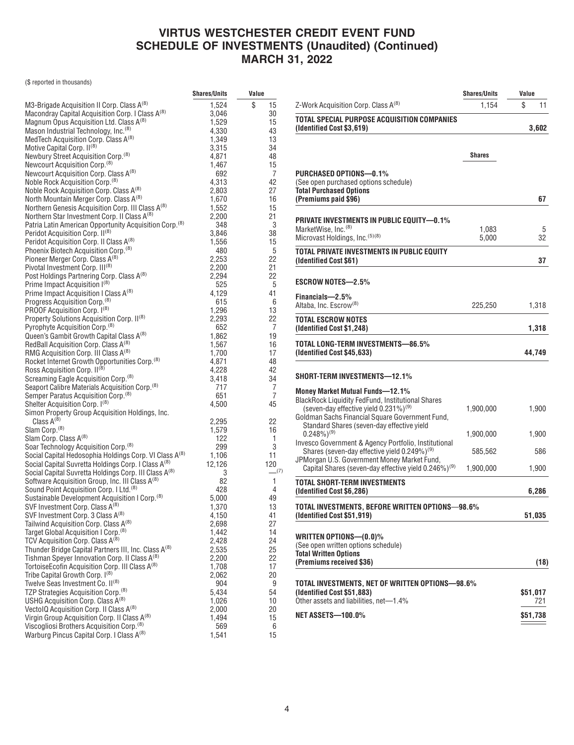|                                                                                                                                      | <b>Shares/Units</b> | Value             |
|--------------------------------------------------------------------------------------------------------------------------------------|---------------------|-------------------|
| M3-Brigade Acquisition II Corp. Class A(8)                                                                                           | 1,524               | \$<br>15          |
| Macondray Capital Acquisition Corp. I Class A(8)                                                                                     | 3,046               | 30                |
| Magnum Opus Acquisition Ltd. Class A(8)                                                                                              | 1,529               | 15                |
| Mason Industrial Technology, Inc. <sup>(8)</sup>                                                                                     | 4,330               | 43                |
| MedTech Acquisition Corp. Class A <sup>(8)</sup>                                                                                     | 1,349               | 13                |
| Motive Capital Corp. II <sup>(8)</sup>                                                                                               | 3,315               | 34                |
| Newbury Street Acquisition Corp. <sup>(8)</sup>                                                                                      | 4.871               | 48                |
| Newcourt Acquisition Corp. <sup>(8)</sup>                                                                                            | 1,467               | 15                |
| Newcourt Acquisition Corp. Class A(8)                                                                                                | 692                 | 7                 |
| Noble Rock Acquisition Corp. <sup>(8)</sup>                                                                                          | 4,313               | 42                |
| Noble Rock Acquisition Corp. Class A <sup>(8)</sup>                                                                                  | 2,803               | 27                |
| North Mountain Merger Corp. Class A(8)                                                                                               | 1,670               | 16                |
| Northern Genesis Acquisition Corp. III Class A(8)                                                                                    | 1,552               | 15                |
| Northern Star Investment Corp. II Class A <sup>(8)</sup>                                                                             | 2,200               | 21                |
| Patria Latin American Opportunity Acquisition Corp. <sup>(8)</sup>                                                                   | 348                 | 3                 |
| Peridot Acquisition Corp. II <sup>(8)</sup>                                                                                          | 3,846               | 38                |
| Peridot Acquisition Corp. II Class A <sup>(8)</sup>                                                                                  | 1,556               | 15                |
| Phoenix Biotech Acquisition Corp. <sup>(8)</sup>                                                                                     | 480                 | 5                 |
| Pioneer Merger Corp. Class A <sup>(8)</sup>                                                                                          | 2,253               | 22                |
| Pivotal Investment Corp. III <sup>(8)</sup>                                                                                          | 2,200               | 21                |
| Post Holdings Partnering Corp. Class A(8)                                                                                            | 2,294               | 22                |
| Prime Impact Acquisition I(8)                                                                                                        | 525                 | 5                 |
| Prime Impact Acquisition I Class A <sup>(8)</sup>                                                                                    | 4,129               | 41                |
| Progress Acquisition Corp. <sup>(8)</sup>                                                                                            | 615                 | 6                 |
| PROOF Acquisition Corp. I(8)                                                                                                         | 1,296               | 13                |
| Property Solutions Acquisition Corp. II(8)                                                                                           | 2,293               | 22                |
| Pyrophyte Acquisition Corp. <sup>(8)</sup>                                                                                           | 652                 | 7                 |
| Queen's Gambit Growth Capital Class A(8)                                                                                             | 1,862               | 19                |
| RedBall Acquisition Corp. Class A(8)                                                                                                 | 1,567               | 16                |
| RMG Acquisition Corp. III Class A(8)                                                                                                 | 1,700               | 17                |
| Rocket Internet Growth Opportunities Corp. <sup>(8)</sup>                                                                            | 4,871               | 48                |
| Ross Acquisition Corp. II <sup>(8)</sup>                                                                                             | 4,228               | 42                |
| Screaming Eagle Acquisition Corp. <sup>(8)</sup>                                                                                     | 3,418               | 34                |
| Seaport Calibre Materials Acquisition Corp. <sup>(8)</sup>                                                                           | 717                 | 7                 |
| Semper Paratus Acquisition Corp. <sup>(8)</sup>                                                                                      | 651                 | 7                 |
| Shelter Acquisition Corp. I(8)                                                                                                       | 4,500               | 45                |
| Simon Property Group Acquisition Holdings, Inc.                                                                                      |                     |                   |
| Class $A^{(8)}$                                                                                                                      | 2,295               | 22                |
| Slam Corp. <sup>(8)</sup>                                                                                                            | 1,579               | 16                |
| Slam Corp. Class A(8)                                                                                                                | 122                 | 1                 |
| Soar Technology Acquisition Corp. <sup>(8)</sup>                                                                                     | 299                 | 3                 |
| Social Capital Hedosophia Holdings Corp. VI Class A(8)                                                                               | 1,106<br>12,126     | 11                |
| Social Capital Suvretta Holdings Corp. I Class A <sup>(8)</sup><br>Social Capital Suvretta Holdings Corp. III Class A <sup>(8)</sup> |                     | 120<br>$\sqrt{7}$ |
| Software Acquisition Group, Inc. III Class A(8)                                                                                      | 3<br>82             | 1                 |
| Sound Point Acquisition Corp. I Ltd. <sup>(8)</sup>                                                                                  | 428                 | 4                 |
| Sustainable Development Acquisition I Corp. <sup>(8)</sup>                                                                           | 5.000               | 49                |
| SVF Investment Corp. Class A(8)                                                                                                      | 1,370               | 13                |
| SVF Investment Corp. 3 Class A <sup>(8)</sup>                                                                                        | 4,150               | 41                |
| Tailwind Acquisition Corp. Class A(8)                                                                                                | 2,698               | 27                |
| Target Global Acquisition I Corp. <sup>(8)</sup>                                                                                     | 1,442               | 14                |
| TCV Acquisition Corp. Class A(8)                                                                                                     | 2,428               | 24                |
| Thunder Bridge Capital Partners III, Inc. Class A(8)                                                                                 | 2,535               | 25                |
| Tishman Speyer Innovation Corp. II Class A <sup>(8)</sup>                                                                            | 2,200               | 22                |
| TortoiseEcofin Acquisition Corp. III Class A <sup>(8)</sup>                                                                          | 1,708               | 17                |
| Tribe Capital Growth Corp. I(8)                                                                                                      | 2,062               | 20                |
| Twelve Seas Investment Co. II(8)                                                                                                     | 904                 | 9                 |
| TZP Strategies Acquisition Corp. <sup>(8)</sup>                                                                                      | 5,434               | 54                |
| USHG Acquisition Corp. Class A(8)                                                                                                    | 1,026               | 10                |
| Vectol Q Acquisition Corp. II Class A <sup>(8)</sup>                                                                                 | 2,000               | 20                |
| Virgin Group Acquisition Corp. II Class A(8)                                                                                         | 1,494               | 15                |
| Viscogliosi Brothers Acquisition Corp. <sup>(8)</sup>                                                                                | 569                 | 6                 |
| Warburg Pincus Capital Corp. I Class A <sup>(8)</sup>                                                                                | 1,541               | 15                |
|                                                                                                                                      |                     |                   |

|                                                                                                               | <b>Shares/Units</b> | Value    |
|---------------------------------------------------------------------------------------------------------------|---------------------|----------|
| Z-Work Acquisition Corp. Class A <sup>(8)</sup>                                                               | 1,154               | \$<br>11 |
| TOTAL SPECIAL PURPOSE ACQUISITION COMPANIES                                                                   |                     |          |
| (Identified Cost \$3,619)                                                                                     |                     | 3,602    |
|                                                                                                               |                     |          |
|                                                                                                               | <b>Shares</b>       |          |
| PURCHASED OPTIONS-0.1%                                                                                        |                     |          |
| (See open purchased options schedule)<br><b>Total Purchased Options</b>                                       |                     |          |
| (Premiums paid \$96)                                                                                          |                     | 67       |
|                                                                                                               |                     |          |
| <b>PRIVATE INVESTMENTS IN PUBLIC EQUITY-0.1%</b><br>MarketWise, Inc. <sup>(8)</sup>                           | 1,083               | 5        |
| Microvast Holdings, Inc. <sup>(5)(8)</sup>                                                                    | 5,000               | 32       |
| TOTAL PRIVATE INVESTMENTS IN PUBLIC EQUITY                                                                    |                     |          |
| (Identified Cost \$61)                                                                                        |                     | 37       |
| ESCROW NOTES—2.5%                                                                                             |                     |          |
| Financials-2.5%                                                                                               |                     |          |
| Altaba, Inc. Escrow <sup>(8)</sup>                                                                            | 225,250             | 1,318    |
| TOTAL ESCROW NOTES<br>(Identified Cost \$1,248)                                                               |                     | 1,318    |
| TOTAL LONG-TERM INVESTMENTS-86.5%<br>(Identified Cost \$45,633)                                               |                     | 44,749   |
| SHORT-TERM INVESTMENTS-12.1%                                                                                  |                     |          |
| <b>Money Market Mutual Funds-12.1%</b>                                                                        |                     |          |
| <b>BlackRock Liquidity FedFund, Institutional Shares</b><br>(seven-day effective yield 0.231%) <sup>(9)</sup> | 1,900,000           | 1,900    |
| Goldman Sachs Financial Square Government Fund,                                                               |                     |          |
| Standard Shares (seven-day effective yield<br>$0.248\%$ <sup>(9)</sup>                                        | 1,900,000           | 1,900    |
| Invesco Government & Agency Portfolio, Institutional                                                          |                     |          |
| Shares (seven-day effective yield 0.249%) <sup>(9)</sup><br>JPMorgan U.S. Government Money Market Fund,       | 585,562             | 586      |
| Capital Shares (seven-day effective yield 0.246%) <sup>(9)</sup>                                              | 1,900,000           | 1,900    |
| TOTAL SHORT-TERM INVESTMENTS                                                                                  |                     |          |
| (Identified Cost \$6,286)                                                                                     |                     | 6,286    |
| TOTAL INVESTMENTS, BEFORE WRITTEN OPTIONS—98.6%<br>(Identified Cost \$51,919)                                 |                     | 51,035   |
|                                                                                                               |                     |          |
| WRITTEN OPTIONS-(0.0)%<br>(See open written options schedule)                                                 |                     |          |
| <b>Total Written Options</b>                                                                                  |                     |          |
| (Premiums received \$36)                                                                                      |                     | (18)     |
| TOTAL INVESTMENTS, NET OF WRITTEN OPTIONS-98.6%                                                               |                     |          |
| (Identified Cost \$51,883)<br>Other assets and liabilities, net-1.4%                                          |                     | \$51,017 |
|                                                                                                               |                     | 721      |
| NET ASSETS-100.0%                                                                                             |                     | \$51,738 |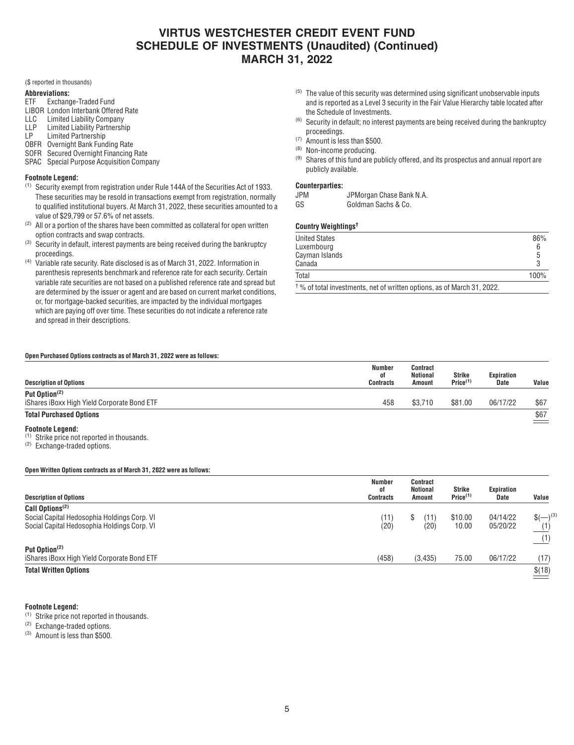(\$ reported in thousands)

#### **Abbreviations:**

- ETF Exchange-Traded Fund
- LIBOR London Interbank Offered Rate<br>LLC Limited Liability Company
- Limited Liability Company
- LLP Limited Liability Partnership
- LP Limited Partnership OBFR Overnight Bank Funding Rate
- SOFR Secured Overnight Financing Rate
- SPAC Special Purpose Acquisition Company
- **Footnote Legend:**
- (1) Security exempt from registration under Rule 144A of the Securities Act of 1933. These securities may be resold in transactions exempt from registration, normally to qualified institutional buyers. At March 31, 2022, these securities amounted to a value of \$29,799 or 57.6% of net assets.
- $(2)$  All or a portion of the shares have been committed as collateral for open written option contracts and swap contracts.
- $(3)$  Security in default, interest payments are being received during the bankruptcy proceedings.
- (4) Variable rate security. Rate disclosed is as of March 31, 2022. Information in parenthesis represents benchmark and reference rate for each security. Certain variable rate securities are not based on a published reference rate and spread but are determined by the issuer or agent and are based on current market conditions, or, for mortgage-backed securities, are impacted by the individual mortgages which are paying off over time. These securities do not indicate a reference rate and spread in their descriptions.
- $(5)$  The value of this security was determined using significant unobservable inputs and is reported as a Level 3 security in the Fair Value Hierarchy table located after the Schedule of Investments.
- $(6)$  Security in default; no interest payments are being received during the bankruptcy proceedings.
- (7) Amount is less than \$500.
- (8) Non-income producing.
- $(9)$  Shares of this fund are publicly offered, and its prospectus and annual report are publicly available.

### **Counterparties:**

- JPM JPMorgan Chase Bank N.A.
- GS Goldman Sachs & Co.

### **Country Weightings†**

| <b>United States</b>                                                               | 86%     |
|------------------------------------------------------------------------------------|---------|
| Luxembourg                                                                         |         |
| Cayman Islands                                                                     | h       |
| Canada                                                                             |         |
| Total                                                                              | $100\%$ |
| $^{\dagger}$ % of total investments, net of written options, as of March 31, 2022. |         |

### **Open Purchased Options contracts as of March 31, 2022 were as follows:**

| <b>Description of Options</b>                                                     | Number<br>٥f<br>Contracts | Contract<br><b>Notional</b><br>Amount | Strike<br>Price <sup>(1)</sup> | Expiration<br><b>Date</b> | Value           |
|-----------------------------------------------------------------------------------|---------------------------|---------------------------------------|--------------------------------|---------------------------|-----------------|
| Put Option <sup>(2)</sup><br>iShares iBoxx High Yield Corporate Bond ETF          | 458                       | \$3.710                               | \$81.00                        | 06/17/22                  | \$67            |
| <b>Total Purchased Options</b>                                                    |                           |                                       |                                |                           | $\frac{$67}{2}$ |
| <b>Footnote Legend:</b><br><sup>(1)</sup> Strike price not reported in thousands. |                           |                                       |                                |                           |                 |

(2) Exchange-traded options.

### **Open Written Options contracts as of March 31, 2022 were as follows:**

| <b>Description of Options</b>                                                                                             | <b>Number</b><br>οf<br><b>Contracts</b> | Contract<br><b>Notional</b><br><b>Amount</b> | Strike<br>Price <sup>(1)</sup> | Expiration<br>Date   | Value              |
|---------------------------------------------------------------------------------------------------------------------------|-----------------------------------------|----------------------------------------------|--------------------------------|----------------------|--------------------|
| Call Options <sup>(2)</sup><br>Social Capital Hedosophia Holdings Corp. VI<br>Social Capital Hedosophia Holdings Corp. VI | (11)<br>(20)                            | S<br>(11)<br>(20)                            | \$10.00<br>10.00               | 04/14/22<br>05/20/22 | $(-)^{(3)}$<br>(1) |
| Put Option <sup>(2)</sup><br>iShares iBoxx High Yield Corporate Bond ETF                                                  | (458)                                   | (3,435)                                      | 75.00                          | 06/17/22             | (1)<br>(17)        |
| <b>Total Written Options</b>                                                                                              |                                         |                                              |                                |                      | \$(18)             |

#### **Footnote Legend:**

(1) Strike price not reported in thousands.

(2) Exchange-traded options.

(3) Amount is less than \$500.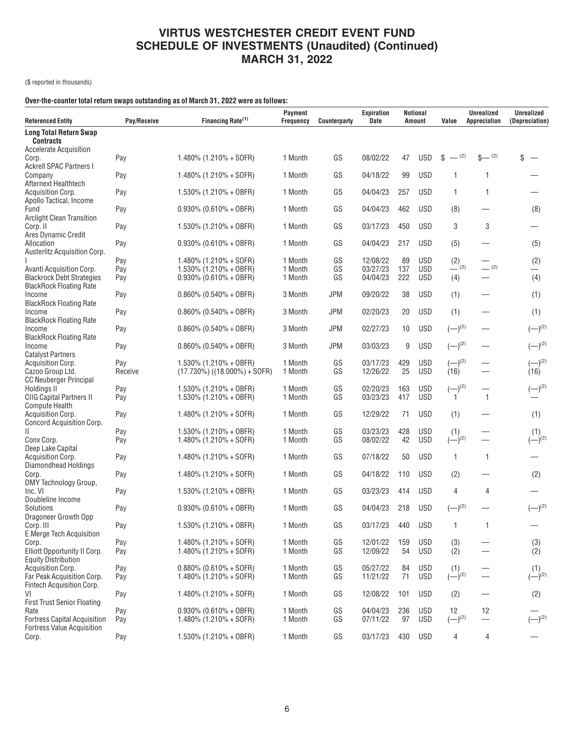(\$ reported in thousands)

### **Over-the-counter total return swaps outstanding as of March 31, 2022 were as follows:**

| <b>Referenced Entity</b>                                                            | Pay/Receive    | Financing Rate <sup>(1)</sup>                                | Payment<br><b>Frequency</b> | Counterparty | Expiration<br>Date   | <b>Notional</b><br><b>Amount</b> |                          | Value                | <b>Unrealized</b><br>Appreciation | <b>Unrealized</b><br>(Depreciation)  |  |
|-------------------------------------------------------------------------------------|----------------|--------------------------------------------------------------|-----------------------------|--------------|----------------------|----------------------------------|--------------------------|----------------------|-----------------------------------|--------------------------------------|--|
| <b>Long Total Return Swap</b><br><b>Contracts</b>                                   |                |                                                              |                             |              |                      |                                  |                          |                      |                                   |                                      |  |
| Accelerate Acquisition<br>Corp.                                                     | Pay            | $1.480\%$ (1.210% + SOFR)                                    | 1 Month                     | GS           | 08/02/22             | 47                               | <b>USD</b>               | $-$ (2)<br>\$        | $S-{}^{(2)}$                      | \$                                   |  |
| <b>Ackrell SPAC Partners I</b><br>Company                                           | Pay            | $1.480\%$ (1.210% + SOFR)                                    | 1 Month                     | GS           | 04/18/22             | 99                               | <b>USD</b>               | 1                    | 1                                 |                                      |  |
| Afternext Healthtech<br><b>Acquisition Corp.</b>                                    | Pay            | $1.530\%$ (1.210% + OBFR)                                    | 1 Month                     | GS           | 04/04/23             | 257                              | USD                      | $\mathbf{1}$         | $\mathbf{1}$                      |                                      |  |
| Apollo Tactical, Income<br>Fund                                                     | Pay            | $0.930\%$ (0.610% + OBFR)                                    | 1 Month                     | GS           | 04/04/23             | 462                              | USD                      | (8)                  |                                   | (8)                                  |  |
| <b>Arclight Clean Transition</b><br>Corp. II                                        | Pay            | $1.530\%$ (1.210% + OBFR)                                    | 1 Month                     | GS           | 03/17/23             | 450                              | USD                      | 3                    | 3                                 |                                      |  |
| Ares Dynamic Credit<br>Allocation                                                   | Pay            | $0.930\%$ (0.610% + OBFR)                                    | 1 Month                     | GS           | 04/04/23             | 217                              | USD                      | (5)                  |                                   | (5)                                  |  |
| <b>Austerlitz Acquisition Corp.</b>                                                 | Pay            | $1.480\%$ (1.210% + SOFR)                                    | 1 Month                     | GS           | 12/08/22             | 89                               | <b>USD</b>               | $(2)$ <sub>(2)</sub> | (2)                               | (2)                                  |  |
| Avanti Acquisition Corp.<br><b>Blackrock Debt Strategies</b>                        | Pay<br>Pay     | $1.530\%$ (1.210% + OBFR)<br>$0.930\%$ (0.610% + OBFR)       | 1 Month<br>1 Month          | GS<br>GS     | 03/27/23<br>04/04/23 | 137<br>222                       | <b>USD</b><br>USD        | (4)                  |                                   | (4)                                  |  |
| <b>BlackRock Floating Rate</b><br>Income<br><b>BlackRock Floating Rate</b>          | Pay            | $0.860\%$ (0.540% + OBFR)                                    | 3 Month                     | <b>JPM</b>   | 09/20/22             | 38                               | USD                      | (1)                  |                                   | (1)                                  |  |
| Income<br><b>BlackRock Floating Rate</b>                                            | Pay            | $0.860\%$ (0.540% + OBFR)                                    | 3 Month                     | <b>JPM</b>   | 02/20/23             | 20                               | USD                      | (1)                  |                                   | (1)                                  |  |
| Income<br><b>BlackRock Floating Rate</b>                                            | Pay            | $0.860\%$ (0.540% + OBFR)                                    | 3 Month                     | <b>JPM</b>   | 02/27/23             | 10                               | USD                      | $(-)^{(2)}$          |                                   | $(-)^{(2)}$                          |  |
| Income<br><b>Catalyst Partners</b>                                                  | Pay            | $0.860\%$ (0.540% + OBFR)                                    | 3 Month                     | <b>JPM</b>   | 03/03/23             | 9                                | <b>USD</b>               | $(-)^{(2)}$          |                                   | $(-)^{(2)}$                          |  |
| Acquisition Corp.<br>Cazoo Group Ltd.<br>CC Neuberger Principal                     | Pay<br>Receive | $1.530\%$ (1.210% + OBFR)<br>$(17.730\%)$ ((18.000%) + SOFR) | 1 Month<br>1 Month          | GS<br>GS     | 03/17/23<br>12/26/22 | 429<br>25                        | <b>USD</b><br><b>USD</b> | $(-)^{(2)}$<br>(16)  |                                   | $(-)^{(2)}$<br>(16)                  |  |
| Holdings II<br><b>CIIG Capital Partners II</b>                                      | Pay<br>Pay     | $1.530\%$ (1.210% + OBFR)<br>$1.530\%$ (1.210% + OBFR)       | 1 Month<br>1 Month          | GS<br>GS     | 02/20/23<br>03/23/23 | 163<br>417                       | <b>USD</b><br><b>USD</b> | $(-)^{(2)}$          | $\overline{1}$                    | $(-)^{(2)}$                          |  |
| <b>Compute Health</b><br><b>Acquisition Corp.</b>                                   | Pay            | $1.480\%$ (1.210% + SOFR)                                    | 1 Month                     | GS           | 12/29/22             | 71                               | <b>USD</b>               | (1)                  |                                   | (1)                                  |  |
| <b>Concord Acquisition Corp.</b><br>Ш<br>Conx Corp.                                 | Pay<br>Pay     | 1.530% (1.210% + OBFR)<br>$1.480\%$ (1.210% + SOFR)          | 1 Month<br>1 Month          | GS<br>GS     | 03/23/23<br>08/02/22 | 428<br>42                        | <b>USD</b><br><b>USD</b> | (1)<br>$(-)^{(2)}$   |                                   | $\sum_{(\underline{-})^{(2)}}^{(1)}$ |  |
| Deep Lake Capital<br><b>Acquisition Corp.</b>                                       | Pay            | $1.480\%$ (1.210% + SOFR)                                    | 1 Month                     | GS           | 07/18/22             | 50                               | USD                      | 1                    | $\overline{1}$                    |                                      |  |
| Diamondhead Holdings<br>Corp.                                                       | Pay            | $1.480\%$ (1.210% + SOFR)                                    | 1 Month                     | GS           | 04/18/22             | 110                              | <b>USD</b>               | (2)                  |                                   | (2)                                  |  |
| DMY Technology Group,<br>Inc. VI<br>Doubleline Income                               | Pay            | $1.530\%$ (1.210% + OBFR)                                    | 1 Month                     | GS           | 03/23/23             | 414                              | <b>USD</b>               | 4                    | 4                                 |                                      |  |
| Solutions<br>Dragoneer Growth Opp                                                   | Pay            | $0.930\%$ (0.610% + OBFR)                                    | 1 Month                     | GS           | 04/04/23             | 218                              | <b>USD</b>               | $(-)^{(2)}$          |                                   | $(-)^{(2)}$                          |  |
| Corp. III<br>E.Merge Tech Acquisition                                               | Pay            | $1.530\%$ (1.210% + OBFR)                                    | 1 Month                     | GS           | 03/17/23             | 440                              | <b>USD</b>               | 1                    | $\mathbf{1}$                      |                                      |  |
| Corp.<br>Elliott Opportunity II Corp.<br><b>Equity Distribution</b>                 | Pay<br>Pay     | $1.480\%$ (1.210% + SOFR)<br>$1.480\%$ (1.210% + SOFR)       | 1 Month<br>1 Month          | GS<br>GS     | 12/01/22<br>12/09/22 | 159<br>54                        | <b>USD</b><br><b>USD</b> | (3)<br>(2)           |                                   | $(3)$<br>$(2)$                       |  |
| <b>Acquisition Corp.</b><br>Far Peak Acquisition Corp.<br>Fintech Acquisition Corp. | Pay<br>Pay     | $0.880\%$ (0.610% + SOFR)<br>$1.480\%$ (1.210% + SOFR)       | 1 Month<br>1 Month          | GS<br>GS     | 05/27/22<br>11/21/22 | 84<br>71                         | USD<br><b>USD</b>        | $(1)$<br>$(-)^{(2)}$ |                                   | $(1)$<br>(-) <sup>(2)</sup>          |  |
| VI<br><b>First Trust Senior Floating</b>                                            | Pay            | $1.480\%$ (1.210% + SOFR)                                    | 1 Month                     | GS           | 12/08/22             | 101                              | <b>USD</b>               | (2)                  |                                   | (2)                                  |  |
| Rate<br><b>Fortress Capital Acquisition</b><br><b>Fortress Value Acquisition</b>    | Pay<br>Pay     | $0.930\%$ (0.610% + OBFR)<br>$1.480\%$ (1.210% + SOFR)       | 1 Month<br>1 Month          | GS<br>GS     | 04/04/23<br>07/11/22 | 236<br>97                        | <b>USD</b><br><b>USD</b> | 12<br>$(-)^{(2)}$    | 12                                | $(-)^{(2)}$                          |  |
| Corp.                                                                               | Pay            | $1.530\%$ (1.210% + OBFR)                                    | 1 Month                     | GS           | 03/17/23             | 430                              | USD                      | 4                    | 4                                 |                                      |  |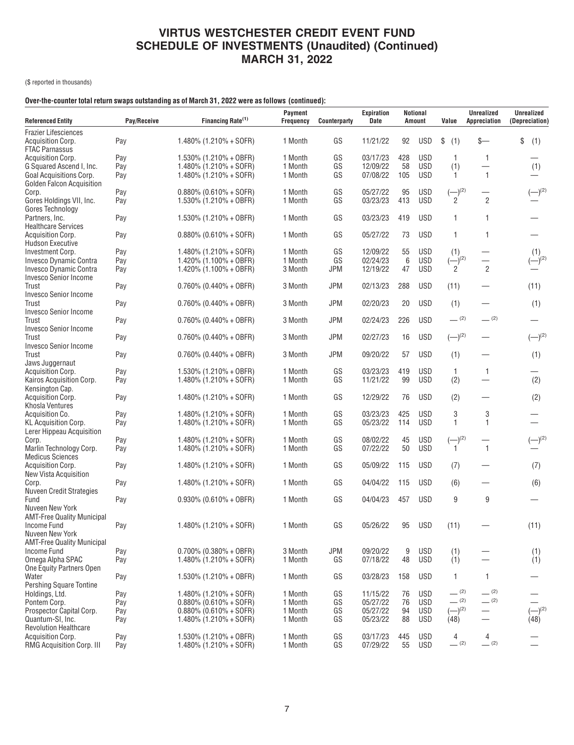(\$ reported in thousands)

### **Over-the-counter total return swaps outstanding as of March 31, 2022 were as follows (continued):**

| <b>Referenced Entity</b>                          | Pay/Receive | Financing Rate <sup>(1)</sup> | <b>Payment</b><br><b>Frequency</b> | <b>Counterparty</b> | <b>Expiration</b><br><b>Date</b> |     | <b>Notional</b><br>Amount | Value        | <b>Unrealized</b><br>Appreciation | <b>Unrealized</b><br>(Depreciation) |
|---------------------------------------------------|-------------|-------------------------------|------------------------------------|---------------------|----------------------------------|-----|---------------------------|--------------|-----------------------------------|-------------------------------------|
| <b>Frazier Lifesciences</b>                       |             |                               |                                    |                     |                                  |     |                           |              |                                   |                                     |
| <b>Acquisition Corp.</b><br><b>FTAC Parnassus</b> | Pay         | 1.480% (1.210% + SOFR)        | 1 Month                            | GS                  | 11/21/22                         | 92  | <b>USD</b>                | \$<br>(1)    | \$—                               | \$<br>(1)                           |
| <b>Acquisition Corp.</b>                          | Pay         | $1.530\%$ (1.210% + OBFR)     | 1 Month                            | GS                  | 03/17/23                         | 428 | <b>USD</b>                | 1            | 1                                 |                                     |
| G Squared Ascend I, Inc.                          | Pay         | $1.480\%$ (1.210% + SOFR)     | 1 Month                            | GS                  | 12/09/22                         | 58  | <b>USD</b>                | (1)          | $\overline{\phantom{0}}$          | (1)                                 |
| Goal Acquisitions Corp.                           | Pay         | 1.480% (1.210% + SOFR)        | 1 Month                            | GS                  | 07/08/22                         | 105 | <b>USD</b>                | 1            | 1                                 |                                     |
| Golden Falcon Acquisition                         |             |                               |                                    |                     |                                  |     |                           |              |                                   |                                     |
| Corp.                                             | Pay         | $0.880\%$ (0.610% + SOFR)     | 1 Month                            | GS                  | 05/27/22                         | 95  | <b>USD</b>                | $(-)^{(2)}$  |                                   | $(-)^{(2)}$                         |
| Gores Holdings VII, Inc.                          | Pay         | 1.530% (1.210% + OBFR)        | 1 Month                            | GS                  | 03/23/23                         | 413 | <b>USD</b>                | 2            | $\overline{2}$                    |                                     |
| Gores Technology                                  |             |                               |                                    |                     |                                  |     |                           |              |                                   |                                     |
| Partners, Inc.                                    | Pay         | 1.530% (1.210% + OBFR)        | 1 Month                            | GS                  | 03/23/23                         | 419 | <b>USD</b>                | 1            | 1                                 |                                     |
| <b>Healthcare Services</b>                        |             |                               |                                    |                     |                                  |     |                           |              |                                   |                                     |
| <b>Acquisition Corp.</b>                          | Pay         | $0.880\%$ (0.610% + SOFR)     | 1 Month                            | GS                  | 05/27/22                         | 73  | <b>USD</b>                | 1            | 1                                 |                                     |
| <b>Hudson Executive</b>                           |             |                               |                                    |                     |                                  |     |                           |              |                                   |                                     |
| Investment Corp.                                  | Pay         | $1.480\%$ (1.210% + SOFR)     | 1 Month                            | GS                  | 12/09/22                         | 55  | <b>USD</b>                | (1)          |                                   | (1)                                 |
| Invesco Dynamic Contra                            | Pay         | $1.420\%$ (1.100% + OBFR)     | 1 Month                            | GS                  | 02/24/23                         | 6   | <b>USD</b>                | $(-)^{(2)}$  |                                   | $(-)^{(2)}$                         |
| Invesco Dynamic Contra                            | Pay         | 1.420% $(1.100% + OBFR)$      | 3 Month                            | <b>JPM</b>          | 12/19/22                         | 47  | <b>USD</b>                | 2            | $\overline{2}$                    |                                     |
| <b>Invesco Senior Income</b>                      |             |                               |                                    |                     |                                  |     |                           |              |                                   |                                     |
| Trust                                             | Pay         | $0.760\%$ (0.440% + OBFR)     | 3 Month                            | <b>JPM</b>          | 02/13/23                         | 288 | <b>USD</b>                | (11)         |                                   | (11)                                |
| <b>Invesco Senior Income</b>                      |             |                               |                                    |                     |                                  |     |                           |              |                                   |                                     |
| Trust                                             | Pay         | $0.760\%$ (0.440% + OBFR)     | 3 Month                            | <b>JPM</b>          | 02/20/23                         | 20  | <b>USD</b>                | (1)          |                                   | (1)                                 |
| <b>Invesco Senior Income</b>                      |             |                               |                                    |                     |                                  |     |                           |              |                                   |                                     |
| Trust                                             | Pay         | $0.760\%$ (0.440% + OBFR)     | 3 Month                            | <b>JPM</b>          | 02/24/23                         | 226 | <b>USD</b>                | $-^{(2)}$    | $-$ (2)                           |                                     |
| <b>Invesco Senior Income</b>                      |             |                               |                                    |                     |                                  |     |                           |              |                                   |                                     |
| Trust                                             | Pay         | $0.760\%$ (0.440% + OBFR)     | 3 Month                            | <b>JPM</b>          | 02/27/23                         | 16  | <b>USD</b>                | $(-)^{(2)}$  |                                   | $(-)^{(2)}$                         |
| Invesco Senior Income                             |             |                               |                                    |                     |                                  |     |                           |              |                                   |                                     |
| Trust                                             | Pay         | $0.760\%$ (0.440% + OBFR)     | 3 Month                            | <b>JPM</b>          | 09/20/22                         | 57  | <b>USD</b>                | (1)          |                                   | (1)                                 |
| Jaws Juggernaut                                   |             |                               |                                    |                     |                                  |     |                           |              |                                   |                                     |
| <b>Acquisition Corp.</b>                          | Pay         | $1.530\%$ (1.210% + OBFR)     | 1 Month                            | GS                  | 03/23/23                         | 419 | USD                       | 1            | $\mathbf{1}$                      |                                     |
| Kairos Acquisition Corp.                          | Pay         | 1.480% (1.210% + SOFR)        | 1 Month                            | GS                  | 11/21/22                         | 99  | <b>USD</b>                | (2)          |                                   | (2)                                 |
| Kensington Cap.                                   |             |                               |                                    |                     |                                  |     |                           |              |                                   |                                     |
| Acquisition Corp.                                 | Pay         | $1.480\%$ (1.210% + SOFR)     | 1 Month                            | GS                  | 12/29/22                         | 76  | <b>USD</b>                | (2)          |                                   | (2)                                 |
| Khosla Ventures                                   |             |                               |                                    |                     |                                  |     |                           |              |                                   |                                     |
| Acquisition Co.                                   | Pay         | $1.480\%$ (1.210% + SOFR)     | 1 Month                            | GS                  | 03/23/23                         | 425 | <b>USD</b>                | 3            | 3                                 |                                     |
| <b>KL Acquisition Corp.</b>                       | Pay         | 1.480% (1.210% + SOFR)        | 1 Month                            | GS                  | 05/23/22                         | 114 | <b>USD</b>                | 1            | 1                                 |                                     |
| Lerer Hippeau Acquisition                         |             |                               |                                    |                     |                                  |     |                           |              |                                   |                                     |
| Corp.                                             | Pay         | $1.480\%$ (1.210% + SOFR)     | 1 Month                            | GS                  | 08/02/22                         | 45  | <b>USD</b>                | $(-)^{(2)}$  |                                   | $(-)^{(2)}$                         |
| Marlin Technology Corp.                           | Pay         | 1.480% (1.210% + SOFR)        | 1 Month                            | GS                  | 07/22/22                         | 50  | <b>USD</b>                | $\mathbf{1}$ | $\mathbf{1}$                      |                                     |
| <b>Medicus Sciences</b>                           |             |                               |                                    |                     |                                  |     |                           |              |                                   |                                     |
| Acquisition Corp.                                 | Pay         | $1.480\%$ (1.210% + SOFR)     | 1 Month                            | GS                  | 05/09/22                         | 115 | <b>USD</b>                | (7)          |                                   | (7)                                 |
| New Vista Acquisition                             |             |                               |                                    |                     |                                  |     |                           |              |                                   |                                     |
| Corp.                                             | Pay         | 1.480% (1.210% + SOFR)        | 1 Month                            | GS                  | 04/04/22                         | 115 | <b>USD</b>                | (6)          |                                   | (6)                                 |
| <b>Nuveen Credit Strategies</b>                   |             |                               |                                    |                     |                                  |     |                           |              |                                   |                                     |
| Fund                                              | Pay         | $0.930\%$ (0.610% + OBFR)     | 1 Month                            | GS                  | 04/04/23                         | 457 | <b>USD</b>                | 9            | 9                                 |                                     |
| Nuveen New York                                   |             |                               |                                    |                     |                                  |     |                           |              |                                   |                                     |
| <b>AMT-Free Quality Municipal</b>                 |             |                               |                                    |                     |                                  |     |                           |              |                                   |                                     |
| Income Fund                                       | Pay         | $1.480\%$ (1.210% + SOFR)     | 1 Month                            | GS                  | 05/26/22                         | 95  | <b>USD</b>                | (11)         |                                   | (11)                                |
| Nuveen New York                                   |             |                               |                                    |                     |                                  |     |                           |              |                                   |                                     |
| <b>AMT-Free Quality Municipal</b>                 |             |                               |                                    |                     |                                  |     |                           |              |                                   |                                     |
| <b>Income Fund</b>                                | Pay         | $0.700\%$ (0.380% + OBFR)     | 3 Month                            | <b>JPM</b>          | 09/20/22                         | 9   | <b>USD</b>                | (1)          |                                   | (1)                                 |
| Omega Alpha SPAC                                  | Pay         | $1.480\%$ (1.210% + SOFR)     | 1 Month                            | GS                  | 07/18/22                         | 48  | <b>USD</b>                | (1)          |                                   | (1)                                 |
| One Equity Partners Open                          |             |                               |                                    |                     |                                  |     |                           |              |                                   |                                     |
| Water                                             | Pay         | $1.530\%$ (1.210% + OBFR)     | 1 Month                            | GS                  | 03/28/23                         | 158 | <b>USD</b>                | 1            | 1                                 |                                     |
| <b>Pershing Square Tontine</b>                    |             |                               |                                    |                     |                                  |     |                           |              |                                   |                                     |
| Holdings, Ltd.                                    | Pay         | $1.480\%$ (1.210% + SOFR)     | 1 Month                            | GS                  | 11/15/22                         | 76  | <b>USD</b>                | $-$ (2)      | $-$ (2)                           |                                     |
| Pontem Corp.                                      | Pay         | $0.880\%$ (0.610% + SOFR)     | 1 Month                            | GS                  | 05/27/22                         | 76  | <b>USD</b>                | $- (2)$      | $- (2)$                           |                                     |
| Prospector Capital Corp.                          | Pay         | $0.880\%$ (0.610% + SOFR)     | 1 Month                            | GS                  | 05/27/22                         | 94  | <b>USD</b>                | $(-)^{(2)}$  |                                   | $\left(-\right)^{(2)}$              |
| Quantum-SI, Inc.                                  | Pay         | $1.480\%$ (1.210% + SOFR)     | 1 Month                            | GS                  | 05/23/22                         | 88  | <b>USD</b>                | (48)         |                                   | (48)                                |
| <b>Revolution Healthcare</b>                      |             |                               |                                    |                     |                                  |     |                           |              |                                   |                                     |
| <b>Acquisition Corp.</b>                          | Pay         | 1.530% (1.210% + OBFR)        | 1 Month                            | GS                  | 03/17/23                         | 445 | <b>USD</b>                | 4            | 4                                 |                                     |
| RMG Acquisition Corp. III                         | Pay         | $1.480\%$ (1.210% + SOFR)     | 1 Month                            | GS                  | 07/29/22                         | 55  | <b>USD</b>                | $-$ (2)      | $-$ (2)                           |                                     |
|                                                   |             |                               |                                    |                     |                                  |     |                           |              |                                   |                                     |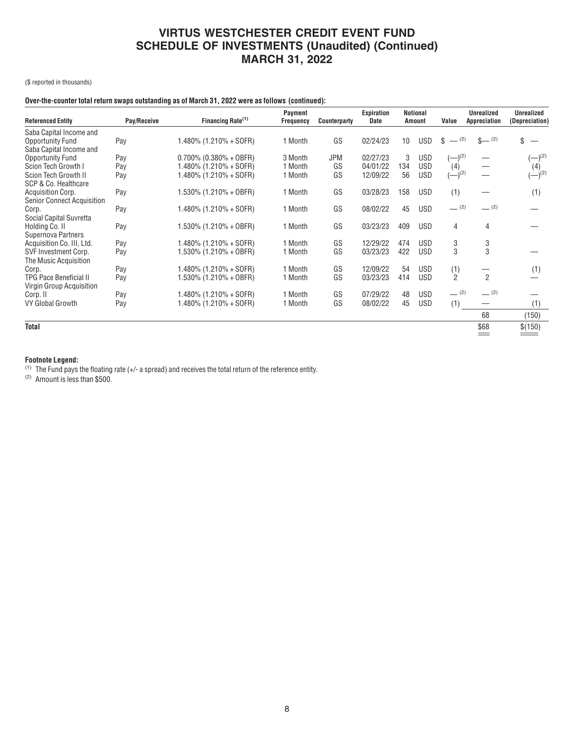(\$ reported in thousands)

### **Over-the-counter total return swaps outstanding as of March 31, 2022 were as follows (continued):**

| <b>Referenced Entity</b>          | Pay/Receive | Financing Rate <sup>(1)</sup> | <b>Payment</b><br><b>Frequency</b> | Counterparty | Expiration<br><b>Date</b> |     | <b>Notional</b><br><b>Amount</b> | Value                | <b>Unrealized</b><br>Appreciation | <b>Unrealized</b><br>(Depreciation) |
|-----------------------------------|-------------|-------------------------------|------------------------------------|--------------|---------------------------|-----|----------------------------------|----------------------|-----------------------------------|-------------------------------------|
| Saba Capital Income and           |             |                               |                                    |              |                           |     |                                  |                      |                                   |                                     |
| Opportunity Fund                  | Pay         | $1.480\%$ (1.210% + SOFR)     | 1 Month                            | GS           | 02/24/23                  | 10  | <b>USD</b>                       | $-$ (2)<br>S         | $\frac{1}{2}$ (2)                 |                                     |
| Saba Capital Income and           |             |                               |                                    |              |                           |     |                                  |                      |                                   |                                     |
| Opportunity Fund                  | Pay         | $0.700\%$ (0.380% + OBFR)     | 3 Month                            | <b>JPM</b>   | 02/27/23                  | 3   | <b>USD</b>                       | $(-)$ <sup>(2)</sup> |                                   | $(-)$ <sup>(2)</sup>                |
| Scion Tech Growth I               | Pay         | $1.480\%$ (1.210% + SOFR)     | 1 Month                            | GS           | 04/01/22                  | 134 | <b>USD</b>                       | (4)                  |                                   | (4)                                 |
| Scion Tech Growth II              | Pay         | $1.480\%$ (1.210% + SOFR)     | 1 Month                            | GS           | 12/09/22                  | 56  | <b>USD</b>                       | $(-)$ <sup>(2)</sup> |                                   | $(-)^{(2)}$                         |
| SCP & Co. Healthcare              |             |                               |                                    |              |                           |     |                                  |                      |                                   |                                     |
| <b>Acquisition Corp.</b>          | Pay         | $1.530\%$ (1.210% + OBFR)     | 1 Month                            | GS           | 03/28/23                  | 158 | <b>USD</b>                       | (1)                  |                                   | (1)                                 |
| <b>Senior Connect Acquisition</b> |             |                               |                                    |              |                           |     |                                  |                      |                                   |                                     |
| Corp.                             | Pay         | $1.480\%$ (1.210% + SOFR)     | 1 Month                            | GS           | 08/02/22                  | 45  | <b>USD</b>                       | $-$ (2)              | (2)                               |                                     |
| Social Capital Suvretta           |             |                               |                                    |              |                           |     |                                  |                      |                                   |                                     |
| Holding Co. II                    | Pay         | $1.530\%$ (1.210% + OBFR)     | 1 Month                            | GS           | 03/23/23                  | 409 | <b>USD</b>                       | $\overline{4}$       | 4                                 |                                     |
| Supernova Partners                |             |                               |                                    |              |                           |     |                                  |                      |                                   |                                     |
| Acquisition Co. III, Ltd.         | Pay         | $1.480\%$ (1.210% + SOFR)     | 1 Month                            | GS           | 12/29/22                  | 474 | <b>USD</b>                       | 3                    | 3                                 |                                     |
| SVF Investment Corp.              | Pay         | $1.530\%$ (1.210% + OBFR)     | 1 Month                            | GS           | 03/23/23                  | 422 | <b>USD</b>                       | 3                    | 3                                 |                                     |
| The Music Acquisition             |             |                               |                                    |              |                           |     |                                  |                      |                                   |                                     |
| Corp.                             | Pay         | $1.480\%$ (1.210% + SOFR)     | 1 Month                            | GS           | 12/09/22                  | 54  | <b>USD</b>                       | (1)                  |                                   | (1)                                 |
| <b>TPG Pace Beneficial II</b>     | Pay         | $1.530\%$ (1.210% + OBFR)     | 1 Month                            | GS           | 03/23/23                  | 414 | <b>USD</b>                       | $\overline{2}$       | $\overline{2}$                    |                                     |
| Virgin Group Acquisition          |             |                               |                                    |              |                           |     |                                  |                      |                                   |                                     |
| Corp. II                          | Pay         | $1.480\%$ (1.210% + SOFR)     | 1 Month                            | GS           | 07/29/22                  | 48  | <b>USD</b>                       | $-$ (2)              | (2)                               |                                     |
| VY Global Growth                  | Pay         | $1.480\%$ (1.210% + SOFR)     | 1 Month                            | GS           | 08/02/22                  | 45  | <b>USD</b>                       | (1)                  |                                   | (1)                                 |
|                                   |             |                               |                                    |              |                           |     |                                  |                      | 68                                | (150)                               |
| <b>Total</b>                      |             |                               |                                    |              |                           |     |                                  |                      | \$68                              | \$(150)                             |
|                                   |             |                               |                                    |              |                           |     |                                  |                      | $=$                               |                                     |

#### **Footnote Legend:**

 $^{(1)}$  The Fund pays the floating rate (+/- a spread) and receives the total return of the reference entity.

(2) Amount is less than \$500.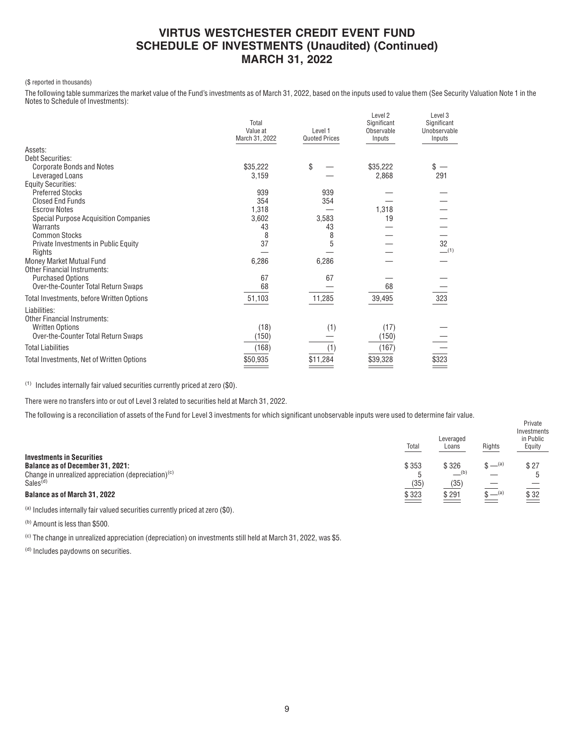### (\$ reported in thousands)

The following table summarizes the market value of the Fund's investments as of March 31, 2022, based on the inputs used to value them (See Security Valuation Note 1 in the Notes to Schedule of Investments):

|                                              | Total<br>Value at<br>March 31, 2022 | Level 1<br><b>Quoted Prices</b> | Level <sub>2</sub><br>Significant<br>Observable<br>Inputs | Level <sub>3</sub><br>Significant<br>Unobservable<br>Inputs |
|----------------------------------------------|-------------------------------------|---------------------------------|-----------------------------------------------------------|-------------------------------------------------------------|
| Assets:                                      |                                     |                                 |                                                           |                                                             |
| Debt Securities:                             |                                     |                                 |                                                           |                                                             |
| <b>Corporate Bonds and Notes</b>             | \$35,222                            | \$                              | \$35,222                                                  | \$                                                          |
| Leveraged Loans                              | 3,159                               |                                 | 2,868                                                     | 291                                                         |
| <b>Equity Securities:</b>                    |                                     |                                 |                                                           |                                                             |
| <b>Preferred Stocks</b>                      | 939                                 | 939                             |                                                           |                                                             |
| <b>Closed End Funds</b>                      | 354                                 | 354                             |                                                           |                                                             |
| <b>Escrow Notes</b>                          | 1,318                               |                                 | 1,318                                                     |                                                             |
| <b>Special Purpose Acquisition Companies</b> | 3,602                               | 3,583                           | 19                                                        |                                                             |
| Warrants                                     | 43                                  | 43                              |                                                           |                                                             |
| <b>Common Stocks</b>                         | 8                                   | 8                               |                                                           |                                                             |
| Private Investments in Public Equity         | 37                                  | 5                               |                                                           | 32                                                          |
| Rights                                       |                                     |                                 |                                                           | $-$ (1)                                                     |
| Money Market Mutual Fund                     | 6,286                               | 6,286                           |                                                           |                                                             |
| <b>Other Financial Instruments:</b>          |                                     |                                 |                                                           |                                                             |
| <b>Purchased Options</b>                     | 67                                  | 67                              |                                                           |                                                             |
| Over-the-Counter Total Return Swaps          | 68                                  |                                 | 68                                                        |                                                             |
| Total Investments, before Written Options    | 51,103                              | 11,285                          | 39,495                                                    | 323                                                         |
| Liabilities:                                 |                                     |                                 |                                                           |                                                             |
| <b>Other Financial Instruments:</b>          |                                     |                                 |                                                           |                                                             |
| <b>Written Options</b>                       | (18)                                | (1)                             | (17)                                                      |                                                             |
| Over-the-Counter Total Return Swaps          | (150)                               |                                 | (150)                                                     |                                                             |
| <b>Total Liabilities</b>                     | (168)                               | (1)                             | (167)                                                     |                                                             |
| Total Investments, Net of Written Options    | \$50,935                            | \$11,284                        | \$39,328                                                  | \$323                                                       |

(1) Includes internally fair valued securities currently priced at zero (\$0).

There were no transfers into or out of Level 3 related to securities held at March 31, 2022.

The following is a reconciliation of assets of the Fund for Level 3 investments for which significant unobservable inputs were used to determine fair value.

|                                                                                                                                       | Total         | Leveraged<br>Loans                      | Rights     | Investments<br>in Public<br>Equity |
|---------------------------------------------------------------------------------------------------------------------------------------|---------------|-----------------------------------------|------------|------------------------------------|
| <b>Investments in Securities</b><br><b>Balance as of December 31, 2021:</b><br>Change in unrealized appreciation (depreciation) $(c)$ | \$353         | \$326<br>$\underline{\hspace{1cm}}$ (b) | $\phi$ (a) | \$27                               |
| Sales <sup>(d)</sup><br><b>Balance as of March 31, 2022</b>                                                                           | (35)<br>\$323 | (35)<br>\$291                           | $S = (a)$  | $\frac{$32}{2}$                    |

Private

(a) Includes internally fair valued securities currently priced at zero (\$0).

(b) Amount is less than \$500.

(c) The change in unrealized appreciation (depreciation) on investments still held at March 31, 2022, was \$5.

(d) Includes paydowns on securities.